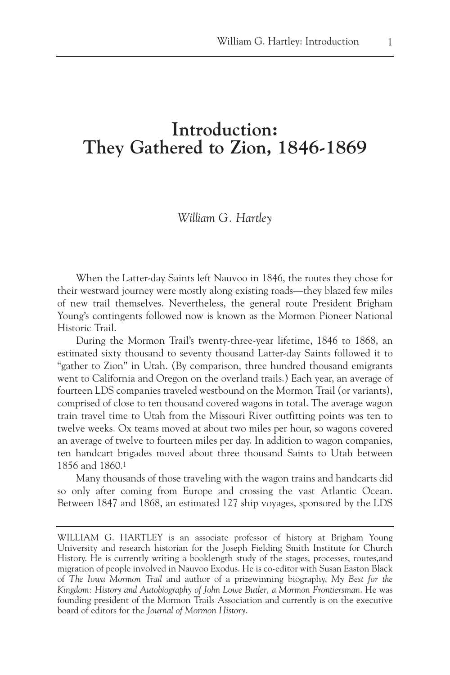## **Introduction: They Gathered to Zion, 1846-1869**

## *William G. Hartley*

When the Latter-day Saints left Nauvoo in 1846, the routes they chose for their westward journey were mostly along existing roads—they blazed few miles of new trail themselves. Nevertheless, the general route President Brigham Young's contingents followed now is known as the Mormon Pioneer National Historic Trail.

During the Mormon Trail's twenty-three-year lifetime, 1846 to 1868, an estimated sixty thousand to seventy thousand Latter-day Saints followed it to "gather to Zion" in Utah. (By comparison, three hundred thousand emigrants went to California and Oregon on the overland trails.) Each year, an average of fourteen LDS companies traveled westbound on the Mormon Trail (or variants), comprised of close to ten thousand covered wagons in total. The average wagon train travel time to Utah from the Missouri River outfitting points was ten to twelve weeks. Ox teams moved at about two miles per hour, so wagons covered an average of twelve to fourteen miles per day. In addition to wagon companies, ten handcart brigades moved about three thousand Saints to Utah between 1856 and 1860.1

Many thousands of those traveling with the wagon trains and handcarts did so only after coming from Europe and crossing the vast Atlantic Ocean. Between 1847 and 1868, an estimated 127 ship voyages, sponsored by the LDS

WILLIAM G. HARTLEY is an associate professor of history at Brigham Young University and research historian for the Joseph Fielding Smith Institute for Church History. He is currently writing a booklength study of the stages, processes, routes,and migration of people involved in Nauvoo Exodus. He is co-editor with Susan Easton Black of *The Iowa Mormon Trail* and author of a prizewinning biography, *My Best for the Kingdom: History and Autobiography of John Lowe Butler, a Mormon Frontiersman*. He was founding president of the Mormon Trails Association and currently is on the executive board of editors for the *Journal of Mormon History*.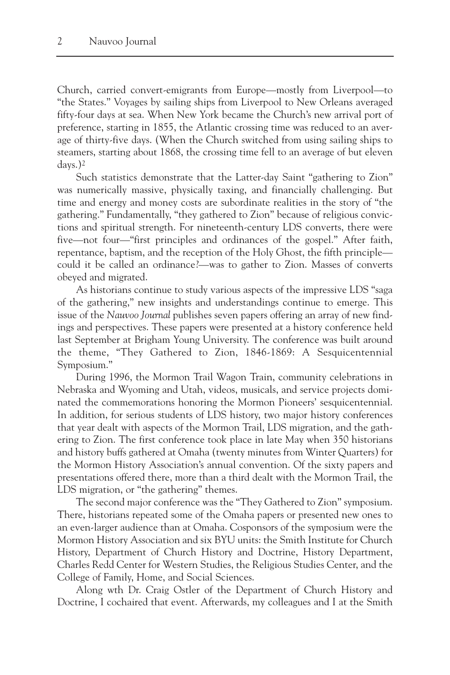Church, carried convert-emigrants from Europe—mostly from Liverpool—to "the States." Voyages by sailing ships from Liverpool to New Orleans averaged fifty-four days at sea. When New York became the Church's new arrival port of preference, starting in 1855, the Atlantic crossing time was reduced to an average of thirty-five days. (When the Church switched from using sailing ships to steamers, starting about 1868, the crossing time fell to an average of but eleven days.)2

Such statistics demonstrate that the Latter-day Saint "gathering to Zion" was numerically massive, physically taxing, and financially challenging. But time and energy and money costs are subordinate realities in the story of "the gathering." Fundamentally, "they gathered to Zion" because of religious convictions and spiritual strength. For nineteenth-century LDS converts, there were five—not four—"first principles and ordinances of the gospel." After faith, repentance, baptism, and the reception of the Holy Ghost, the fifth principle could it be called an ordinance?—was to gather to Zion. Masses of converts obeyed and migrated.

As historians continue to study various aspects of the impressive LDS "saga of the gathering," new insights and understandings continue to emerge. This issue of the *Nauvoo Journal* publishes seven papers offering an array of new findings and perspectives. These papers were presented at a history conference held last September at Brigham Young University. The conference was built around the theme, "They Gathered to Zion, 1846-1869: A Sesquicentennial Symposium."

During 1996, the Mormon Trail Wagon Train, community celebrations in Nebraska and Wyoming and Utah, videos, musicals, and service projects dominated the commemorations honoring the Mormon Pioneers' sesquicentennial. In addition, for serious students of LDS history, two major history conferences that year dealt with aspects of the Mormon Trail, LDS migration, and the gathering to Zion. The first conference took place in late May when 350 historians and history buffs gathered at Omaha (twenty minutes from Winter Quarters) for the Mormon History Association's annual convention. Of the sixty papers and presentations offered there, more than a third dealt with the Mormon Trail, the LDS migration, or "the gathering" themes.

The second major conference was the "They Gathered to Zion" symposium. There, historians repeated some of the Omaha papers or presented new ones to an even-larger audience than at Omaha. Cosponsors of the symposium were the Mormon History Association and six BYU units: the Smith Institute for Church History, Department of Church History and Doctrine, History Department, Charles Redd Center for Western Studies, the Religious Studies Center, and the College of Family, Home, and Social Sciences.

Along wth Dr. Craig Ostler of the Department of Church History and Doctrine, I cochaired that event. Afterwards, my colleagues and I at the Smith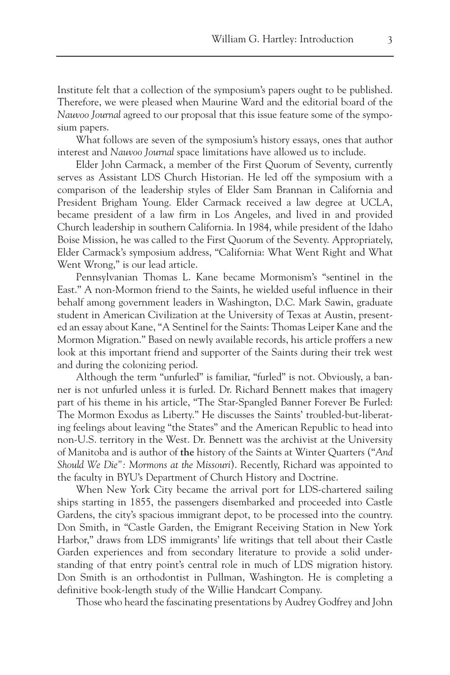Institute felt that a collection of the symposium's papers ought to be published. Therefore, we were pleased when Maurine Ward and the editorial board of the *Nauvoo Journal* agreed to our proposal that this issue feature some of the symposium papers.

What follows are seven of the symposium's history essays, ones that author interest and *Nauvoo Journal* space limitations have allowed us to include.

Elder John Carmack, a member of the First Quorum of Seventy, currently serves as Assistant LDS Church Historian. He led off the symposium with a comparison of the leadership styles of Elder Sam Brannan in California and President Brigham Young. Elder Carmack received a law degree at UCLA, became president of a law firm in Los Angeles, and lived in and provided Church leadership in southern California. In 1984, while president of the Idaho Boise Mission, he was called to the First Quorum of the Seventy. Appropriately, Elder Carmack's symposium address, "California: What Went Right and What Went Wrong," is our lead article.

Pennsylvanian Thomas L. Kane became Mormonism's "sentinel in the East." A non-Mormon friend to the Saints, he wielded useful influence in their behalf among government leaders in Washington, D.C. Mark Sawin, graduate student in American Civilization at the University of Texas at Austin, presented an essay about Kane, "A Sentinel for the Saints: Thomas Leiper Kane and the Mormon Migration." Based on newly available records, his article proffers a new look at this important friend and supporter of the Saints during their trek west and during the colonizing period.

Although the term "unfurled" is familiar, "furled" is not. Obviously, a banner is not unfurled unless it is furled. Dr. Richard Bennett makes that imagery part of his theme in his article, "The Star-Spangled Banner Forever Be Furled: The Mormon Exodus as Liberty." He discusses the Saints' troubled-but-liberating feelings about leaving "the States" and the American Republic to head into non-U.S. territory in the West. Dr. Bennett was the archivist at the University of Manitoba and is author of **the** history of the Saints at Winter Quarters ("*And Should We Die": Mormons at the Missouri*). Recently, Richard was appointed to the faculty in BYU's Department of Church History and Doctrine.

When New York City became the arrival port for LDS-chartered sailing ships starting in 1855, the passengers disembarked and proceeded into Castle Gardens, the city's spacious immigrant depot, to be processed into the country. Don Smith, in "Castle Garden, the Emigrant Receiving Station in New York Harbor," draws from LDS immigrants' life writings that tell about their Castle Garden experiences and from secondary literature to provide a solid understanding of that entry point's central role in much of LDS migration history. Don Smith is an orthodontist in Pullman, Washington. He is completing a definitive book-length study of the Willie Handcart Company.

Those who heard the fascinating presentations by Audrey Godfrey and John